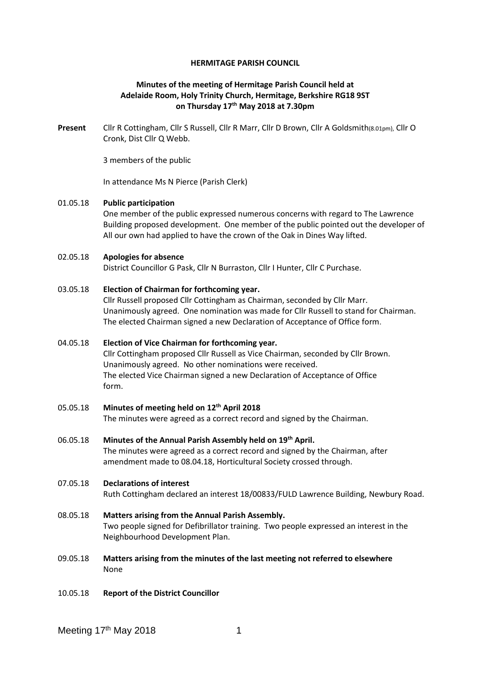#### **HERMITAGE PARISH COUNCIL**

## **Minutes of the meeting of Hermitage Parish Council held at Adelaide Room, Holy Trinity Church, Hermitage, Berkshire RG18 9ST on Thursday 17th May 2018 at 7.30pm**

**Present** Cllr R Cottingham, Cllr S Russell, Cllr R Marr, Cllr D Brown, Cllr A Goldsmith(8.01pm), Cllr O Cronk, Dist Cllr Q Webb.

3 members of the public

In attendance Ms N Pierce (Parish Clerk)

### 01.05.18 **Public participation**

One member of the public expressed numerous concerns with regard to The Lawrence Building proposed development. One member of the public pointed out the developer of All our own had applied to have the crown of the Oak in Dines Way lifted.

### 02.05.18 **Apologies for absence**

District Councillor G Pask, Cllr N Burraston, Cllr I Hunter, Cllr C Purchase.

### 03.05.18 **Election of Chairman for forthcoming year.**

Cllr Russell proposed Cllr Cottingham as Chairman, seconded by Cllr Marr. Unanimously agreed. One nomination was made for Cllr Russell to stand for Chairman. The elected Chairman signed a new Declaration of Acceptance of Office form.

# 04.05.18 **Election of Vice Chairman for forthcoming year.**

Cllr Cottingham proposed Cllr Russell as Vice Chairman, seconded by Cllr Brown. Unanimously agreed. No other nominations were received. The elected Vice Chairman signed a new Declaration of Acceptance of Office form.

- 05.05.18 **Minutes of meeting held on 12th April 2018** The minutes were agreed as a correct record and signed by the Chairman.
- 06.05.18 **Minutes of the Annual Parish Assembly held on 19th April.** The minutes were agreed as a correct record and signed by the Chairman, after amendment made to 08.04.18, Horticultural Society crossed through.

### 07.05.18 **Declarations of interest**

Ruth Cottingham declared an interest 18/00833/FULD Lawrence Building, Newbury Road.

- 08.05.18 **Matters arising from the Annual Parish Assembly.** Two people signed for Defibrillator training. Two people expressed an interest in the Neighbourhood Development Plan.
- 09.05.18 **Matters arising from the minutes of the last meeting not referred to elsewhere** None
- 10.05.18 **Report of the District Councillor**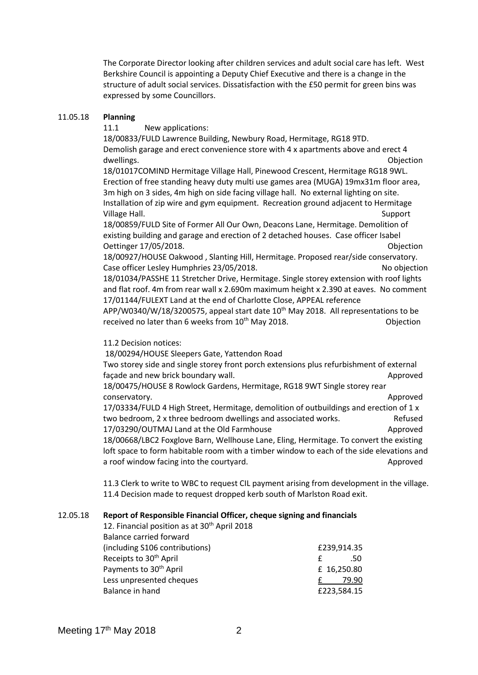The Corporate Director looking after children services and adult social care has left. West Berkshire Council is appointing a Deputy Chief Executive and there is a change in the structure of adult social services. Dissatisfaction with the £50 permit for green bins was expressed by some Councillors.

### 11.05.18 **Planning**

11.1 New applications:

18/00833/FULD Lawrence Building, Newbury Road, Hermitage, RG18 9TD. Demolish garage and erect convenience store with 4 x apartments above and erect 4 dwellings. The contract of the contract of the contract of the contract of the contract of the contract of the contract of the contract of the contract of the contract of the contract of the contract of the contract of the

18/01017COMIND Hermitage Village Hall, Pinewood Crescent, Hermitage RG18 9WL. Erection of free standing heavy duty multi use games area (MUGA) 19mx31m floor area, 3m high on 3 sides, 4m high on side facing village hall. No external lighting on site. Installation of zip wire and gym equipment. Recreation ground adjacent to Hermitage Village Hall. Support

18/00859/FULD Site of Former All Our Own, Deacons Lane, Hermitage. Demolition of existing building and garage and erection of 2 detached houses. Case officer Isabel Oettinger 17/05/2018. Objection

18/00927/HOUSE Oakwood , Slanting Hill, Hermitage. Proposed rear/side conservatory. Case officer Lesley Humphries 23/05/2018. No objection 18/01034/PASSHE 11 Stretcher Drive, Hermitage. Single storey extension with roof lights

and flat roof. 4m from rear wall x 2.690m maximum height x 2.390 at eaves. No comment 17/01144/FULEXT Land at the end of Charlotte Close, APPEAL reference

APP/W0340/W/18/3200575, appeal start date 10<sup>th</sup> May 2018. All representations to be received no later than 6 weeks from  $10<sup>th</sup>$  May 2018.  $\qquad \qquad$  Objection

# 11.2 Decision notices:

18/00294/HOUSE Sleepers Gate, Yattendon Road

Two storey side and single storey front porch extensions plus refurbishment of external façade and new brick boundary wall. Approved 18/00475/HOUSE 8 Rowlock Gardens, Hermitage, RG18 9WT Single storey rear conservatory. Approved

17/03334/FULD 4 High Street, Hermitage, demolition of outbuildings and erection of 1 x two bedroom, 2 x three bedroom dwellings and associated works. Refused 17/03290/OUTMAJ Land at the Old Farmhouse Approved 18/00668/LBC2 Foxglove Barn, Wellhouse Lane, Eling, Hermitage. To convert the existing loft space to form habitable room with a timber window to each of the side elevations and a roof window facing into the courtyard. Approved

11.3 Clerk to write to WBC to request CIL payment arising from development in the village. 11.4 Decision made to request dropped kerb south of Marlston Road exit.

# 12.05.18 **Report of Responsible Financial Officer, cheque signing and financials**

| £239,914.35 |
|-------------|
| .50         |
| £ 16,250.80 |
| 79.90       |
| £223,584.15 |
|             |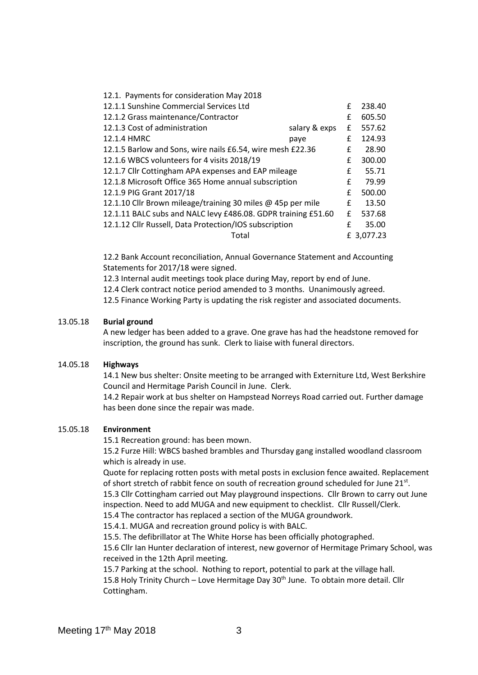| 12.1. Payments for consideration May 2018                     |               |   |            |
|---------------------------------------------------------------|---------------|---|------------|
| 12.1.1 Sunshine Commercial Services Ltd                       |               | £ | 238.40     |
| 12.1.2 Grass maintenance/Contractor                           |               | £ | 605.50     |
| 12.1.3 Cost of administration                                 | salary & exps | £ | 557.62     |
| 12.1.4 HMRC                                                   | paye          | £ | 124.93     |
| 12.1.5 Barlow and Sons, wire nails £6.54, wire mesh £22.36    |               | £ | 28.90      |
| 12.1.6 WBCS volunteers for 4 visits 2018/19                   |               | £ | 300.00     |
| 12.1.7 Cllr Cottingham APA expenses and EAP mileage           |               | £ | 55.71      |
| 12.1.8 Microsoft Office 365 Home annual subscription          |               | £ | 79.99      |
| 12.1.9 PIG Grant 2017/18                                      |               | £ | 500.00     |
| 12.1.10 Cllr Brown mileage/training 30 miles @ 45p per mile   |               | £ | 13.50      |
| 12.1.11 BALC subs and NALC levy £486.08. GDPR training £51.60 |               | £ | 537.68     |
| 12.1.12 Cllr Russell, Data Protection/IOS subscription        |               | f | 35.00      |
| Total                                                         |               |   | £ 3,077.23 |

12.2 Bank Account reconciliation, Annual Governance Statement and Accounting Statements for 2017/18 were signed.

12.3 Internal audit meetings took place during May, report by end of June.

12.4 Clerk contract notice period amended to 3 months. Unanimously agreed.

12.5 Finance Working Party is updating the risk register and associated documents.

### 13.05.18 **Burial ground**

A new ledger has been added to a grave. One grave has had the headstone removed for inscription, the ground has sunk. Clerk to liaise with funeral directors.

#### 14.05.18 **Highways**

14.1 New bus shelter: Onsite meeting to be arranged with Externiture Ltd, West Berkshire Council and Hermitage Parish Council in June. Clerk.

14.2 Repair work at bus shelter on Hampstead Norreys Road carried out. Further damage has been done since the repair was made.

#### 15.05.18 **Environment**

15.1 Recreation ground: has been mown.

15.2 Furze Hill: WBCS bashed brambles and Thursday gang installed woodland classroom which is already in use.

Quote for replacing rotten posts with metal posts in exclusion fence awaited. Replacement of short stretch of rabbit fence on south of recreation ground scheduled for June 21st.

15.3 Cllr Cottingham carried out May playground inspections. Cllr Brown to carry out June inspection. Need to add MUGA and new equipment to checklist. Cllr Russell/Clerk.

15.4 The contractor has replaced a section of the MUGA groundwork.

15.4.1. MUGA and recreation ground policy is with BALC.

15.5. The defibrillator at The White Horse has been officially photographed.

15.6 Cllr Ian Hunter declaration of interest, new governor of Hermitage Primary School, was received in the 12th April meeting.

15.7 Parking at the school. Nothing to report, potential to park at the village hall.

15.8 Holy Trinity Church - Love Hermitage Day 30<sup>th</sup> June. To obtain more detail. Cllr Cottingham.